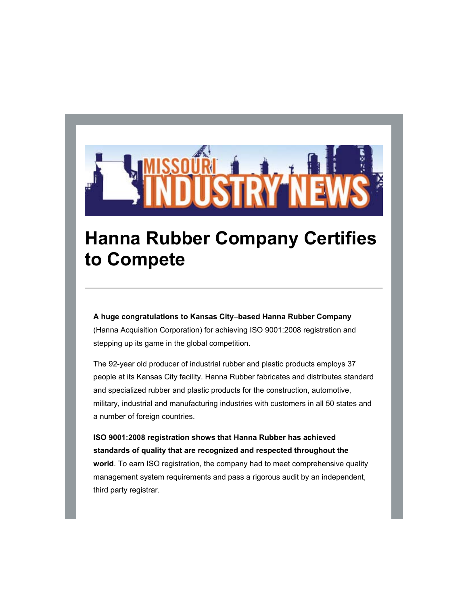

## **Hanna Rubber Company Certifies to Compete**

**A huge congratulations to Kansas City**–**based Hanna Rubber Company** (Hanna Acquisition Corporation) for achieving ISO 9001:2008 registration and stepping up its game in the global competition.

The 92-year old producer of industrial rubber and plastic products employs 37 people at its Kansas City facility. Hanna Rubber fabricates and distributes standard and specialized rubber and plastic products for the construction, automotive, military, industrial and manufacturing industries with customers in all 50 states and a number of foreign countries.

**ISO 9001:2008 registration shows that Hanna Rubber has achieved standards of quality that are recognized and respected throughout the world**. To earn ISO registration, the company had to meet comprehensive quality management system requirements and pass a rigorous audit by an independent, third party registrar.